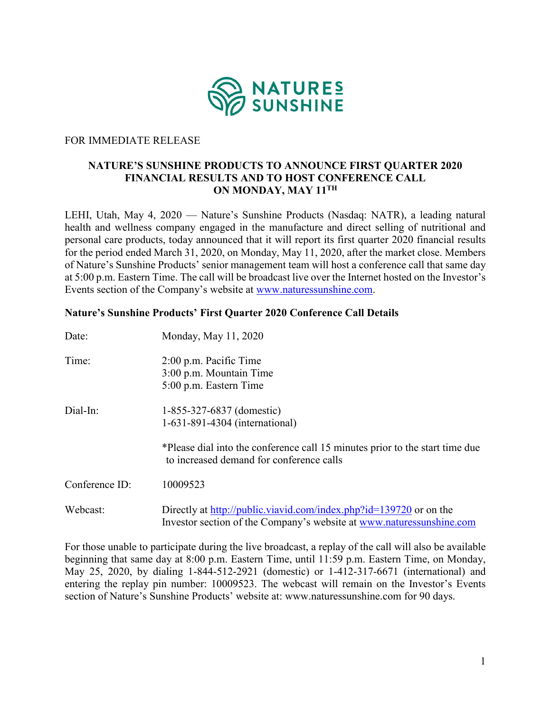

## FOR IMMEDIATE RELEASE

## **NATURE'S SUNSHINE PRODUCTS TO ANNOUNCE FIRST QUARTER 2020 FINANCIAL RESULTS AND TO HOST CONFERENCE CALL ON MONDAY, MAY 11TH**

LEHI, Utah, May 4, 2020 — Nature's Sunshine Products (Nasdaq: NATR), a leading natural health and wellness company engaged in the manufacture and direct selling of nutritional and personal care products, today announced that it will report its first quarter 2020 financial results for the period ended March 31, 2020, on Monday, May 11, 2020, after the market close. Members of Nature's Sunshine Products' senior management team will host a conference call that same day at 5:00 p.m. Eastern Time. The call will be broadcast live over the Internet hosted on the Investor's Events section of the Company's website at [www.naturessunshine.com.](http://www.naturessunshine.com/)

## **Nature's Sunshine Products' First Quarter 2020 Conference Call Details**

| Date:          | Monday, May 11, 2020                                                                                                                       |
|----------------|--------------------------------------------------------------------------------------------------------------------------------------------|
| Time:          | $2:00$ p.m. Pacific Time<br>3:00 p.m. Mountain Time<br>5:00 p.m. Eastern Time                                                              |
| Dial-In:       | 1-855-327-6837 (domestic)<br>1-631-891-4304 (international)                                                                                |
|                | *Please dial into the conference call 15 minutes prior to the start time due<br>to increased demand for conference calls                   |
| Conference ID: | 10009523                                                                                                                                   |
| Webcast:       | Directly at http://public.viavid.com/index.php?id=139720 or on the<br>Investor section of the Company's website at www.naturessunshine.com |

For those unable to participate during the live broadcast, a replay of the call will also be available beginning that same day at 8:00 p.m. Eastern Time, until 11:59 p.m. Eastern Time, on Monday, May 25, 2020, by dialing 1-844-512-2921 (domestic) or 1-412-317-6671 (international) and entering the replay pin number: 10009523. The webcast will remain on the Investor's Events section of Nature's Sunshine Products' website at: www.naturessunshine.com for 90 days.